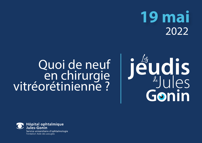## **19 mai** 2022

# Quoi de neuf en chirurgie<br>? vitréorétinienne



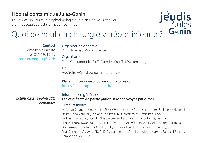#### Hôpital ophtalmique Jules-Gonin

Le Service universitaire d'ophtalmologie a le plaisir de vous convier à un nouveau cours de formation continue



### Quoi de neuf en chirurgie vitréorétinienne ?

**Contact** Mme Paola Caputo Tél. 021 626 80 59 coursetcongres@fa2.ch

*Crédits CME : 4 points SSO*

#### Organisation générale Prof. Thomas J. Wolfensberger **Organisateurs** Dr L. Konstantinidis, Dr T. Stappler, Prof. T. J. Wolfensberger Lieu Auditoire Hôpital ophtalmique Jules-Gonin Places limitées - inscriptions obligatoires sur : https://events.ophtalmique.ch/ Informations générales **Les certificats de participation seront envoyés par e-mail**  *demandés* **Orateurs** invités Dr Aman Chandra, BSc (Hons) MBBS FRCOphth PhD, Southend-on-Sea University Hospital, UK

Dr Jay Chhablani MD, Eye and Ear Institute, University of Pittsburgh, USA Prof. Sascha Fauser, ROCHE Bâle Switzerland & University of Cologne, Germany Prof. Anthony Kwan, MBChB, MD FRCOphth, FRANZCO, University of Brisbane, Australia Dre Teresa Sandinha, FRCOphth, PhD, St. Paul's Eye Unit, Liverpool University, UK Prof. Demetrios Vavvas MD, PhD, Department of Ophthalmology, Harvard Medical School, Cambridge, MA, USA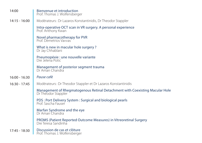| 14:00           | Bienvenue et introduction<br>Prof. Thomas J. Wolfensberger                                          |
|-----------------|-----------------------------------------------------------------------------------------------------|
| $14:15 - 16:00$ | Modérateurs: Dr Lazaros Konstantinidis, Dr Theodor Stappler                                         |
|                 | Intra-operative OCT scan in VR surgery. A personal experience<br>Prof. Anthony Kwan                 |
|                 | Novel pharmacotherapy for PVR<br>Prof. Demetrios Vayyas                                             |
|                 | What is new in macular hole surgery?<br>Dr Jay Chhablani                                            |
|                 | Pneumopéxie : une nouvelle variante<br>Dre Jelena Potic                                             |
|                 | Management of posterior segment trauma<br>Dr Aman Chandra                                           |
| $16:00 - 16:30$ | Pause café                                                                                          |
| $16:30 - 17:45$ | Modérateurs: Dr Theodor Stappler et Dr Lazaros Konstantinidis                                       |
|                 | Management of Rhegmatogenous Retinal Detachment with Coexisting Macular Hole<br>Dr Theodor Stappler |
|                 | PDS: Port Delivery System: Surgical and biological pearls<br>Prof. Sascha Fauser                    |
|                 | Marfan Syndrome and the eye<br>Dr Aman Chandra                                                      |
|                 | PROMS (Patient Reported Outcome Measures) in Vitreoretinal Surgery<br>Dre Teresa Sandinha           |
| 17:45 - 18:30   | Discussion de cas et clôture<br>Prof. Thomas J. Wolfensberger                                       |